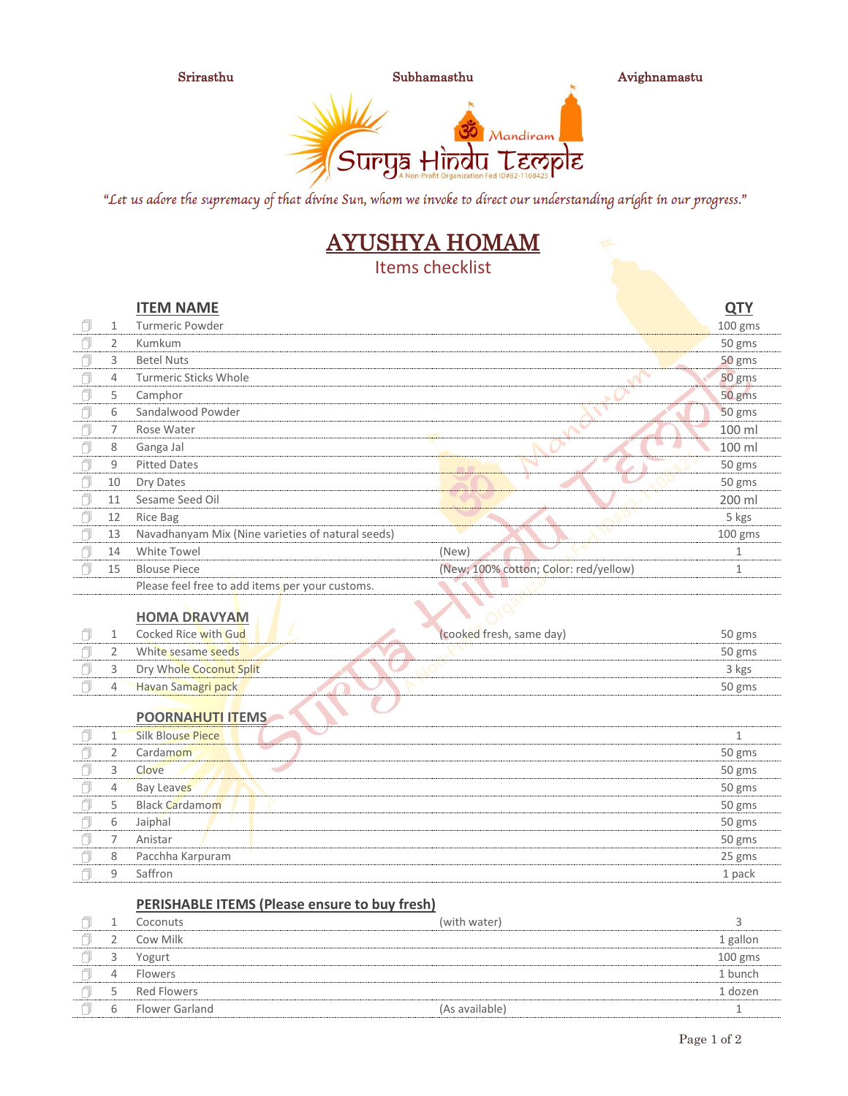

Srirasthu Subhamasthu Avighnamastu



"Let us adore the supremacy of that divine Sun, whom we invoke to direct our understanding aright in our progress."

# AYUSHYA HOMAM

Items checklist

|    |    | <b>ITEM NAME</b>                                  |                                       | <b>QTY</b> |
|----|----|---------------------------------------------------|---------------------------------------|------------|
| n  | 1  | Turmeric Powder                                   |                                       | $100$ gms  |
|    | 2  | Kumkum                                            |                                       | 50 gms     |
|    | 3  | <b>Betel Nuts</b>                                 |                                       | 50 gms     |
| A  | 4  | <b>Turmeric Sticks Whole</b>                      |                                       | 50 gms     |
| H  | 5  | Camphor                                           |                                       | 50 gms     |
|    | 6  | Sandalwood Powder                                 |                                       | 50 gms     |
| ٦l | 7  | Rose Water                                        |                                       | 100 ml     |
|    | 8  | Ganga Jal                                         |                                       | 100 ml     |
|    | 9  | <b>Pitted Dates</b>                               |                                       | 50 gms     |
| ٦l | 10 | Dry Dates                                         |                                       | 50 gms     |
| H  | 11 | Sesame Seed Oil                                   |                                       | 200 ml     |
| A  | 12 | Rice Bag                                          |                                       | 5 kgs      |
|    | 13 | Navadhanyam Mix (Nine varieties of natural seeds) |                                       | $100$ gms  |
| A  | 14 | White Towel                                       | (New)                                 |            |
|    | 15 | <b>Blouse Piece</b>                               | (New; 100% cotton; Color: red/yellow) | 1          |
|    |    |                                                   |                                       |            |

Please feel free to add items per your customs.

### **HOMA DRAVYAM**

|   | Cocked Rice with Gud      | (cooked fresh, same day) | 50 gms |
|---|---------------------------|--------------------------|--------|
|   | White sesame seeds        |                          | 50 gms |
|   | Dry Whole Coconut Split   |                          | 3 kgs  |
| 4 | <b>Havan Samagri pack</b> |                          | 50 gms |

#### **POORNAHUTI ITEMS**

|   | <b>Silk Blouse Piece</b> |        |
|---|--------------------------|--------|
|   | Cardamom                 | 50 gms |
| 3 | Clove                    | 50 gms |
| 4 | <b>Bay Leaves</b>        | 50 gms |
| 5 | <b>Black Cardamom</b>    | 50 gms |
| 6 | Jaiphal                  | 50 gms |
|   | Anistar                  | 50 gms |
| 8 | Pacchha Karpuram         | 25 gms |
| q | Saffron                  | 1 pack |

#### **PERISHABLE ITEMS (Please ensure to buy fresh)**

|   | Coconuts           | (with water)   |          |
|---|--------------------|----------------|----------|
|   | Cow Milk           |                | 1 gallon |
| ے | Yogurt             |                | 100 gms  |
| 4 | <b>Flowers</b>     |                | 1 bunch  |
| ∽ | <b>Red Flowers</b> |                | 1 dozen  |
| b | Flower Garland     | (As available) |          |